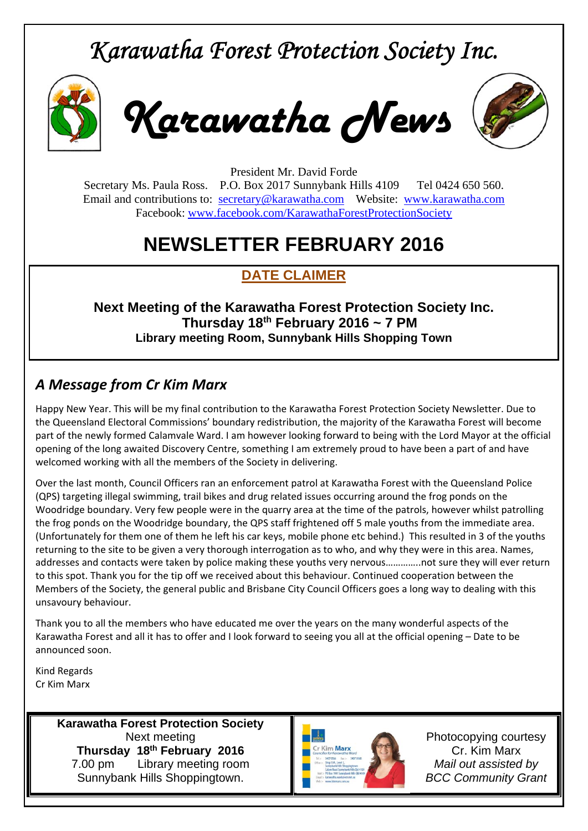## *Karawatha Forest Protection Society Inc.*



*Karawatha News*



President Mr. David Forde Secretary Ms. Paula Ross. P.O. Box 2017 Sunnybank Hills 4109 Tel 0424 650 560. Email and contributions to: secretary@karawatha.com Website: www.karawatha.com Facebook: www.facebook.com/KarawathaForestProtectionSociety

## **NEWSLETTER FEBRUARY 2016**

## **DATE CLAIMER**

**Next Meeting of the Karawatha Forest Protection Society Inc. Thursday 18th February 2016 ~ 7 PM Library meeting Room, Sunnybank Hills Shopping Town** 

### *A Message from Cr Kim Marx*

Happy New Year. This will be my final contribution to the Karawatha Forest Protection Society Newsletter. Due to the Queensland Electoral Commissions' boundary redistribution, the majority of the Karawatha Forest will become part of the newly formed Calamvale Ward. I am however looking forward to being with the Lord Mayor at the official opening of the long awaited Discovery Centre, something I am extremely proud to have been a part of and have welcomed working with all the members of the Society in delivering.

Over the last month, Council Officers ran an enforcement patrol at Karawatha Forest with the Queensland Police (QPS) targeting illegal swimming, trail bikes and drug related issues occurring around the frog ponds on the Woodridge boundary. Very few people were in the quarry area at the time of the patrols, however whilst patrolling the frog ponds on the Woodridge boundary, the QPS staff frightened off 5 male youths from the immediate area. (Unfortunately for them one of them he left his car keys, mobile phone etc behind.) This resulted in 3 of the youths returning to the site to be given a very thorough interrogation as to who, and why they were in this area. Names, addresses and contacts were taken by police making these youths very nervous…………..not sure they will ever return to this spot. Thank you for the tip off we received about this behaviour. Continued cooperation between the Members of the Society, the general public and Brisbane City Council Officers goes a long way to dealing with this unsavoury behaviour.

Thank you to all the members who have educated me over the years on the many wonderful aspects of the Karawatha Forest and all it has to offer and I look forward to seeing you all at the official opening – Date to be announced soon.

Kind Regards Cr Kim Marx

> **Karawatha Forest Protection Society**  Next meeting **Thursday 18th February 2016**  7.00 pm Library meeting room Sunnybank Hills Shoppingtown.



Photocopying courtesy Cr. Kim Marx *Mail out assisted by BCC Community Grant*